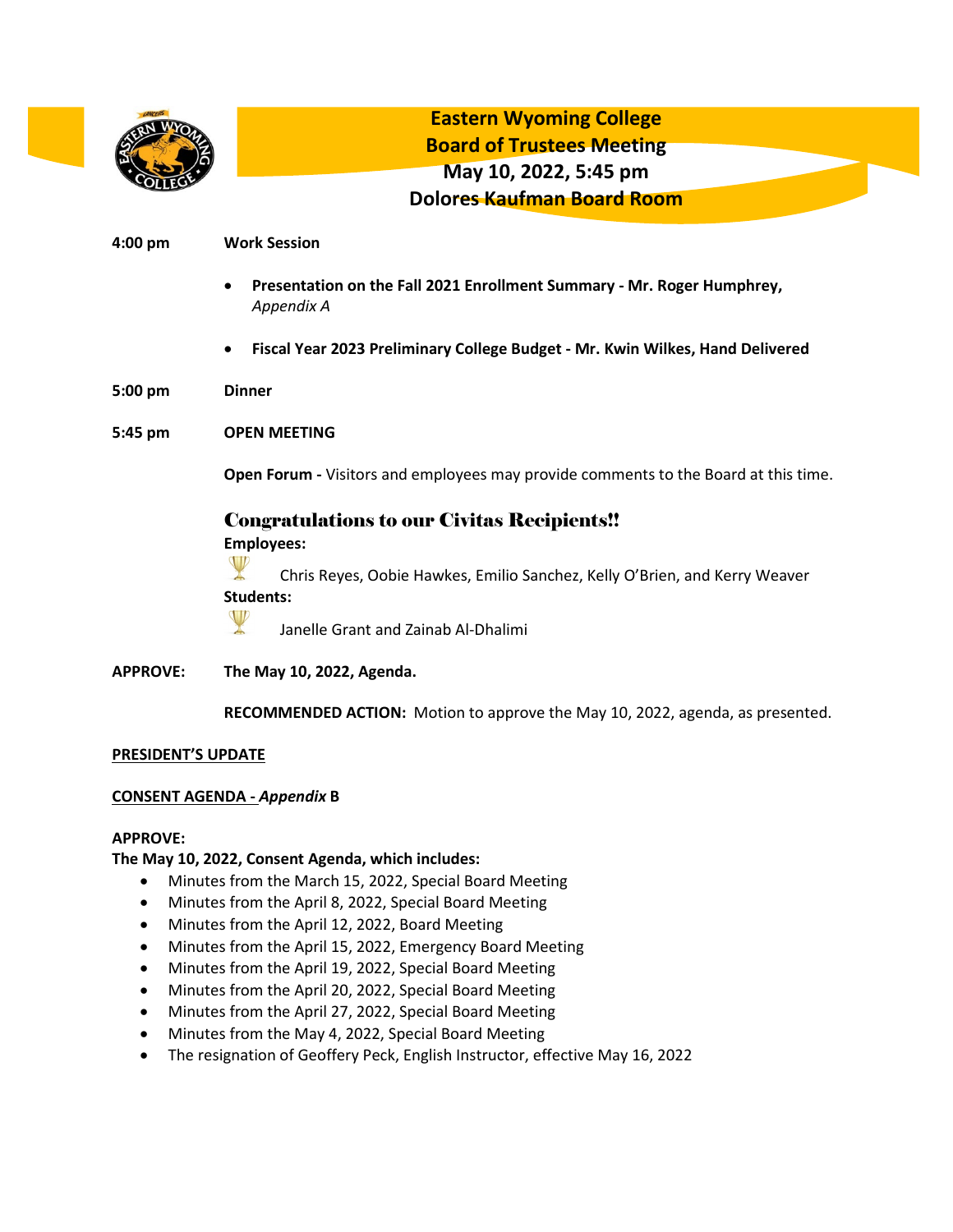

**Eastern Wyoming College Board of Trustees Meeting May 10, 2022, 5:45 pm Dolores Kaufman Board Room**

### **4:00 pm Work Session**

- **Presentation on the Fall 2021 Enrollment Summary - Mr. Roger Humphrey,**  *Appendix A*
- **Fiscal Year 2023 Preliminary College Budget - Mr. Kwin Wilkes, Hand Delivered**
- **5:00 pm Dinner**
- **5:45 pm OPEN MEETING**

**Open Forum -** Visitors and employees may provide comments to the Board at this time.

# Congratulations to our Civitas Recipients!!

**Employees:**



Chris Reyes, Oobie Hawkes, Emilio Sanchez, Kelly O'Brien, and Kerry Weaver **Students:** 



Janelle Grant and Zainab Al-Dhalimi

**APPROVE: The May 10, 2022, Agenda.**

**RECOMMENDED ACTION:** Motion to approve the May 10, 2022, agenda, as presented.

#### **PRESIDENT'S UPDATE**

#### **CONSENT AGENDA -** *Appendix* **B**

#### **APPROVE:**

## **The May 10, 2022, Consent Agenda, which includes:**

- Minutes from the March 15, 2022, Special Board Meeting
- Minutes from the April 8, 2022, Special Board Meeting
- Minutes from the April 12, 2022, Board Meeting
- Minutes from the April 15, 2022, Emergency Board Meeting
- Minutes from the April 19, 2022, Special Board Meeting
- Minutes from the April 20, 2022, Special Board Meeting
- Minutes from the April 27, 2022, Special Board Meeting
- Minutes from the May 4, 2022, Special Board Meeting
- The resignation of Geoffery Peck, English Instructor, effective May 16, 2022